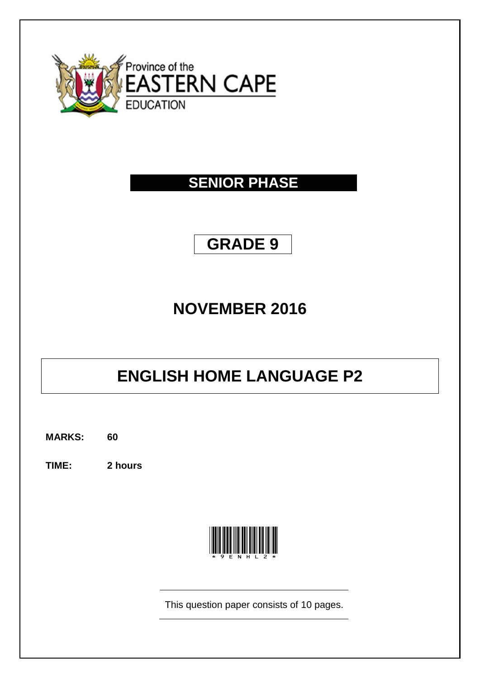

## **SENIOR PHASE**

## **GRADE 9**

## **NOVEMBER 2016**

# **ENGLISH HOME LANGUAGE P2**

**MARKS: 60**

**TIME: 2 hours**



This question paper consists of 10 pages.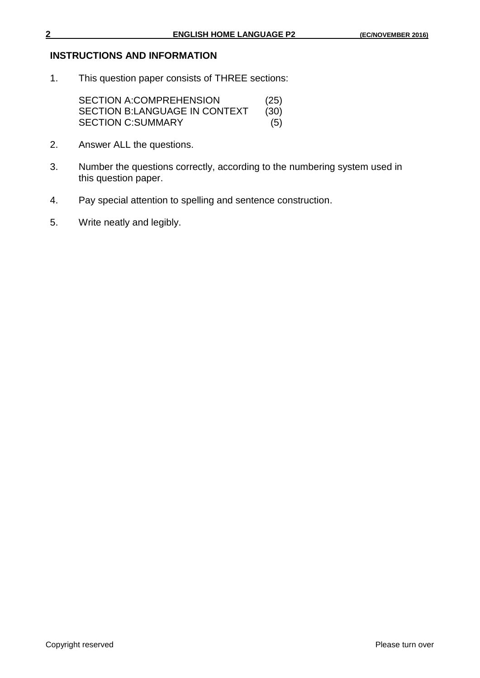#### **INSTRUCTIONS AND INFORMATION**

1. This question paper consists of THREE sections:

SECTION A:COMPREHENSION (25) SECTION B:LANGUAGE IN CONTEXT (30)<br>SECTION C:SUMMARY (5) **SECTION C:SUMMARY** 

- 2. Answer ALL the questions.
- 3. Number the questions correctly, according to the numbering system used in this question paper.
- 4. Pay special attention to spelling and sentence construction.
- 5. Write neatly and legibly.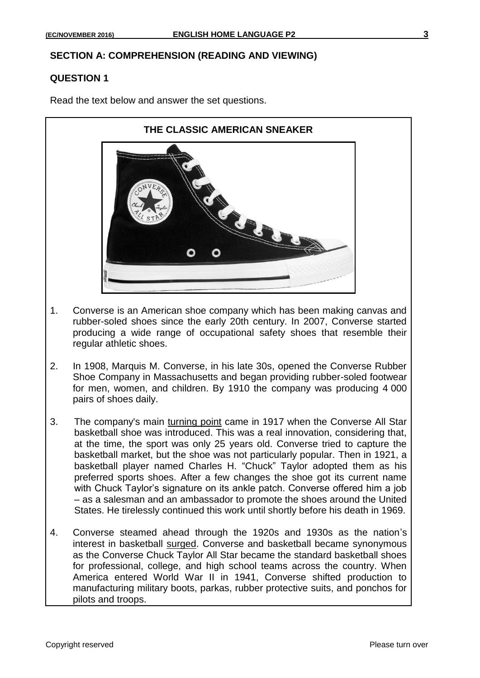#### **SECTION A: COMPREHENSION (READING AND VIEWING)**

#### **QUESTION 1**

Read the text below and answer the set questions.



- 1. Converse is an American shoe company which has been making canvas and rubber-soled shoes since the early 20th century. In 2007, Converse started producing a wide range of occupational safety shoes that resemble their regular athletic shoes.
- 2. In 1908, Marquis M. Converse, in his late 30s, opened the Converse Rubber Shoe Company in Massachusetts and began providing rubber-soled footwear for men, women, and children. By 1910 the company was producing 4 000 pairs of shoes daily.
- 3. The company's main turning point came in 1917 when the Converse All Star basketball shoe was introduced. This was a real innovation, considering that, at the time, the sport was only 25 years old. Converse tried to capture the basketball market, but the shoe was not particularly popular. Then in 1921, a basketball player named Charles H. "Chuck" Taylor adopted them as his preferred sports shoes. After a few changes the shoe got its current name with Chuck Taylor's signature on its ankle patch. Converse offered him a job – as a salesman and an ambassador to promote the shoes around the United States. He tirelessly continued this work until shortly before his death in 1969.
- 4. Converse steamed ahead through the 1920s and 1930s as the nation's interest in basketball surged. Converse and basketball became synonymous as the Converse Chuck Taylor All Star became the standard basketball shoes for professional, college, and high school teams across the country. When America entered World War II in 1941, Converse shifted production to manufacturing military boots, parkas, rubber protective suits, and ponchos for pilots and troops.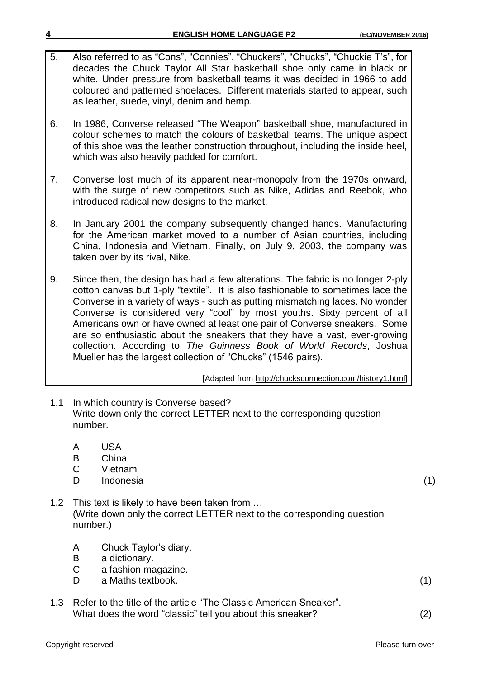5. Also referred to as "Cons", "Connies", "Chuckers", "Chucks", "Chuckie T's", for decades the Chuck Taylor All Star basketball shoe only came in black or white. Under pressure from basketball teams it was decided in 1966 to add coloured and patterned shoelaces. Different materials started to appear, such as leather, suede, vinyl, denim and hemp.

6. In 1986, Converse released "The Weapon" basketball shoe, manufactured in colour schemes to match the colours of basketball teams. The unique aspect of this shoe was the leather construction throughout, including the inside heel, which was also heavily padded for comfort.

- 7. Converse lost much of its apparent near-monopoly from the 1970s onward, with the surge of new competitors such as Nike, Adidas and Reebok, who introduced radical new designs to the market.
- 8. In January 2001 the company subsequently changed hands. Manufacturing for the American market moved to a number of Asian countries, including China, Indonesia and Vietnam. Finally, on July 9, 2003, the company was taken over by its rival, Nike.
- 9. Since then, the design has had a few alterations. The fabric is no longer 2-ply cotton canvas but 1-ply "textile". It is also fashionable to sometimes lace the Converse in a variety of ways - such as putting mismatching laces. No wonder Converse is considered very "cool" by most youths. Sixty percent of all Americans own or have owned at least one pair of Converse sneakers. Some are so enthusiastic about the sneakers that they have a vast, ever-growing collection. According to *The Guinness Book of World Records*, Joshua Mueller has the largest collection of "Chucks" (1546 pairs).

[Adapted from http://chucksconnection.com/history1.html]

- 1.1 In which country is Converse based? Write down only the correct LETTER next to the corresponding question number.
	- A USA
	- B China
	- C Vietnam
	- D Indonesia (1)
- 1.2 This text is likely to have been taken from … (Write down only the correct LETTER next to the corresponding question number.)
	- A Chuck Taylor's diary.
	- B a dictionary.
	- C a fashion magazine.
	- D a Maths textbook. (1)
- 1.3 Refer to the title of the article "The Classic American Sneaker". What does the word "classic" tell you about this sneaker? (2)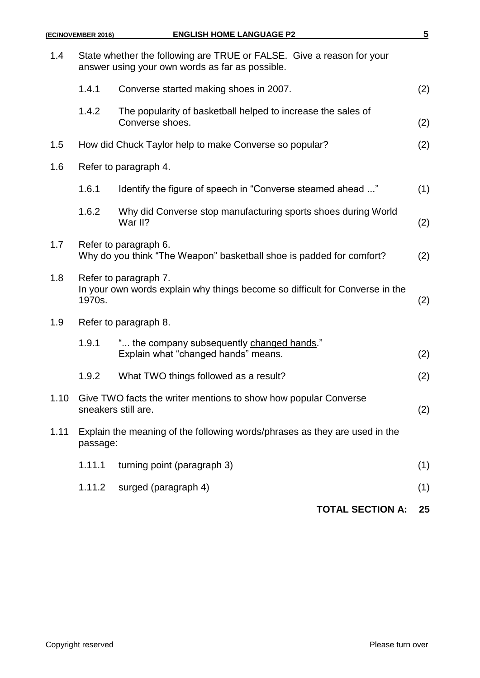| 1.4  | State whether the following are TRUE or FALSE. Give a reason for your<br>answer using your own words as far as possible. |                                                                                               |     |  |  |  |
|------|--------------------------------------------------------------------------------------------------------------------------|-----------------------------------------------------------------------------------------------|-----|--|--|--|
|      | 1.4.1                                                                                                                    | Converse started making shoes in 2007.                                                        | (2) |  |  |  |
|      | 1.4.2                                                                                                                    | The popularity of basketball helped to increase the sales of<br>Converse shoes.               | (2) |  |  |  |
| 1.5  | How did Chuck Taylor help to make Converse so popular?                                                                   |                                                                                               |     |  |  |  |
| 1.6  | Refer to paragraph 4.                                                                                                    |                                                                                               |     |  |  |  |
|      | 1.6.1                                                                                                                    | ldentify the figure of speech in "Converse steamed ahead "                                    | (1) |  |  |  |
|      | 1.6.2                                                                                                                    | Why did Converse stop manufacturing sports shoes during World<br>War II?                      | (2) |  |  |  |
| 1.7  |                                                                                                                          | Refer to paragraph 6.<br>Why do you think "The Weapon" basketball shoe is padded for comfort? | (2) |  |  |  |
| 1.8  | Refer to paragraph 7.<br>In your own words explain why things become so difficult for Converse in the<br>1970s.          |                                                                                               |     |  |  |  |
| 1.9  | Refer to paragraph 8.                                                                                                    |                                                                                               |     |  |  |  |
|      | 1.9.1                                                                                                                    | " the company subsequently changed hands."<br>Explain what "changed hands" means.             | (2) |  |  |  |
|      | 1.9.2                                                                                                                    | What TWO things followed as a result?                                                         | (2) |  |  |  |
| 1.10 |                                                                                                                          | Give TWO facts the writer mentions to show how popular Converse<br>sneakers still are.        |     |  |  |  |
| 1.11 | Explain the meaning of the following words/phrases as they are used in the<br>passage:                                   |                                                                                               |     |  |  |  |
|      | 1.11.1                                                                                                                   | turning point (paragraph 3)                                                                   | (1) |  |  |  |
|      | 1.11.2                                                                                                                   | surged (paragraph 4)                                                                          | (1) |  |  |  |
|      |                                                                                                                          | <b>TOTAL SECTION A:</b>                                                                       | 25  |  |  |  |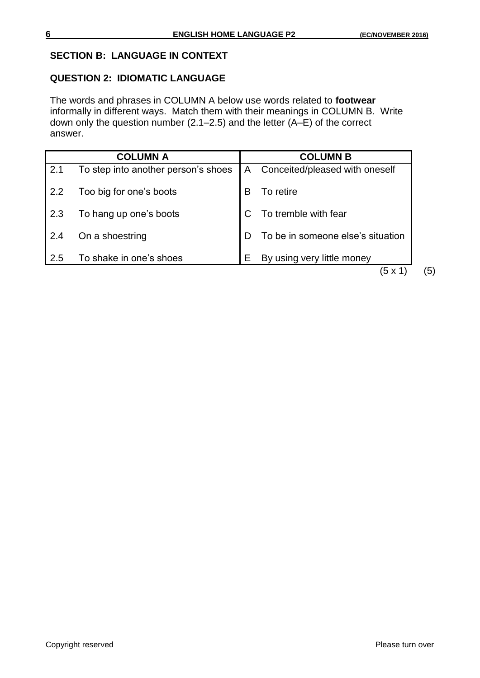#### **SECTION B: LANGUAGE IN CONTEXT**

#### **QUESTION 2: IDIOMATIC LANGUAGE**

The words and phrases in COLUMN A below use words related to **footwear** informally in different ways. Match them with their meanings in COLUMN B. Write down only the question number (2.1–2.5) and the letter (A–E) of the correct answer.

|     | <b>COLUMN A</b>                     |              | <b>COLUMN B</b>                   |
|-----|-------------------------------------|--------------|-----------------------------------|
| 2.1 | To step into another person's shoes | $\mathsf{A}$ | Conceited/pleased with oneself    |
| 2.2 | Too big for one's boots             | В            | To retire                         |
| 2.3 | To hang up one's boots              |              | To tremble with fear              |
| 2.4 | On a shoestring                     | D            | To be in someone else's situation |
| 2.5 | To shake in one's shoes             | Е            | By using very little money        |
|     |                                     |              | (5 x 1                            |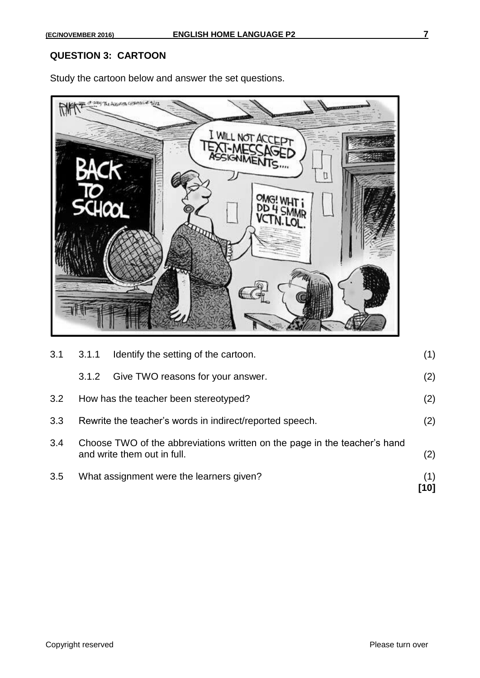#### **QUESTION 3: CARTOON**

Study the cartoon below and answer the set questions.



| 3.5 |       | What assignment were the learners given?                                                                 | (1)<br>[10] |
|-----|-------|----------------------------------------------------------------------------------------------------------|-------------|
| 3.4 |       | Choose TWO of the abbreviations written on the page in the teacher's hand<br>and write them out in full. | (2)         |
| 3.3 |       | Rewrite the teacher's words in indirect/reported speech.                                                 | (2)         |
| 3.2 |       | How has the teacher been stereotyped?                                                                    | (2)         |
|     | 3.1.2 | Give TWO reasons for your answer.                                                                        | (2)         |
| 3.1 | 3.1.1 | Identify the setting of the cartoon.                                                                     | (1)         |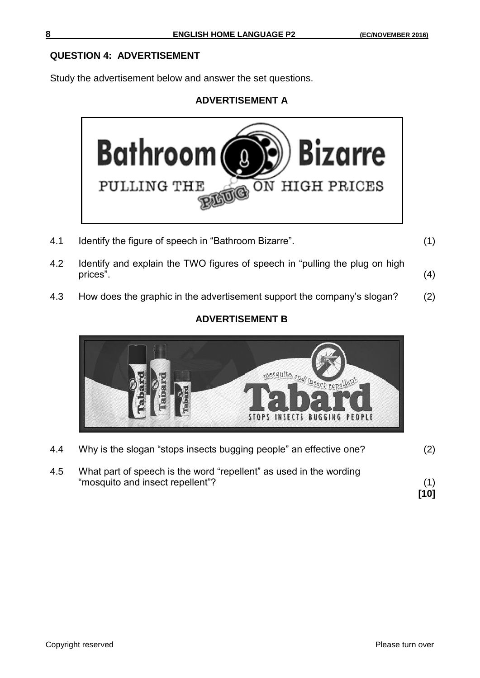#### **QUESTION 4: ADVERTISEMENT**

Study the advertisement below and answer the set questions.

### **ADVERTISEMENT A**



- 4.1 Identify the figure of speech in "Bathroom Bizarre". (1)
- 
- 4.2 Identify and explain the TWO figures of speech in "pulling the plug on high prices". (4)
- 4.3 How does the graphic in the advertisement support the company's slogan? (2)

### **ADVERTISEMENT B**



4.4 Why is the slogan "stops insects bugging people" an effective one? (2) 4.5 What part of speech is the word "repellent" as used in the wording "mosquito and insect repellent"? (1)

**[10]**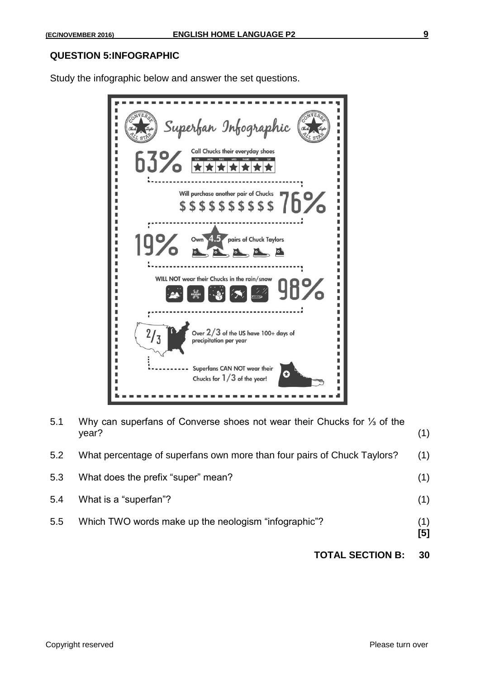#### **QUESTION 5:INFOGRAPHIC**

Study the infographic below and answer the set questions.



| 5.1 | Why can superfans of Converse shoes not wear their Chucks for 1/3 of the<br>year? | (1)        |
|-----|-----------------------------------------------------------------------------------|------------|
| 5.2 | What percentage of superfans own more than four pairs of Chuck Taylors?           | (1)        |
| 5.3 | What does the prefix "super" mean?                                                | (1)        |
| 5.4 | What is a "superfan"?                                                             | (1)        |
| 5.5 | Which TWO words make up the neologism "infographic"?                              | (1)<br>[5] |

### **TOTAL SECTION B: 30**